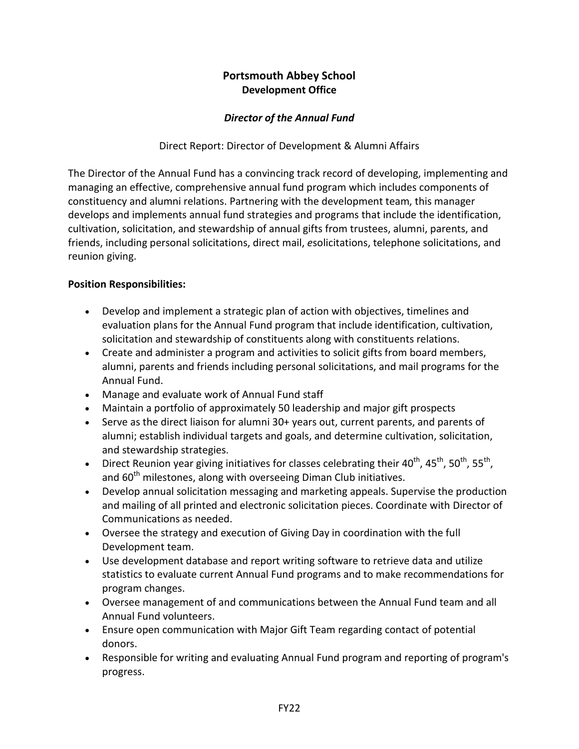# **Portsmouth Abbey School Development Office**

## *Director of the Annual Fund*

Direct Report: Director of Development & Alumni Affairs

The Director of the Annual Fund has a convincing track record of developing, implementing and managing an effective, comprehensive annual fund program which includes components of constituency and alumni relations. Partnering with the development team, this manager develops and implements annual fund strategies and programs that include the identification, cultivation, solicitation, and stewardship of annual gifts from trustees, alumni, parents, and friends, including personal solicitations, direct mail, *e*solicitations, telephone solicitations, and reunion giving.

### **Position Responsibilities:**

- Develop and implement a strategic plan of action with objectives, timelines and evaluation plans for the Annual Fund program that include identification, cultivation, solicitation and stewardship of constituents along with constituents relations.
- Create and administer a program and activities to solicit gifts from board members, alumni, parents and friends including personal solicitations, and mail programs for the Annual Fund.
- Manage and evaluate work of Annual Fund staff
- Maintain a portfolio of approximately 50 leadership and major gift prospects
- Serve as the direct liaison for alumni 30+ years out, current parents, and parents of alumni; establish individual targets and goals, and determine cultivation, solicitation, and stewardship strategies.
- Direct Reunion year giving initiatives for classes celebrating their  $40^{th}$ ,  $45^{th}$ ,  $50^{th}$ ,  $55^{th}$ , and  $60<sup>th</sup>$  milestones, along with overseeing Diman Club initiatives.
- Develop annual solicitation messaging and marketing appeals. Supervise the production and mailing of all printed and electronic solicitation pieces. Coordinate with Director of Communications as needed.
- Oversee the strategy and execution of Giving Day in coordination with the full Development team.
- Use development database and report writing software to retrieve data and utilize statistics to evaluate current Annual Fund programs and to make recommendations for program changes.
- Oversee management of and communications between the Annual Fund team and all Annual Fund volunteers.
- Ensure open communication with Major Gift Team regarding contact of potential donors.
- Responsible for writing and evaluating Annual Fund program and reporting of program's progress.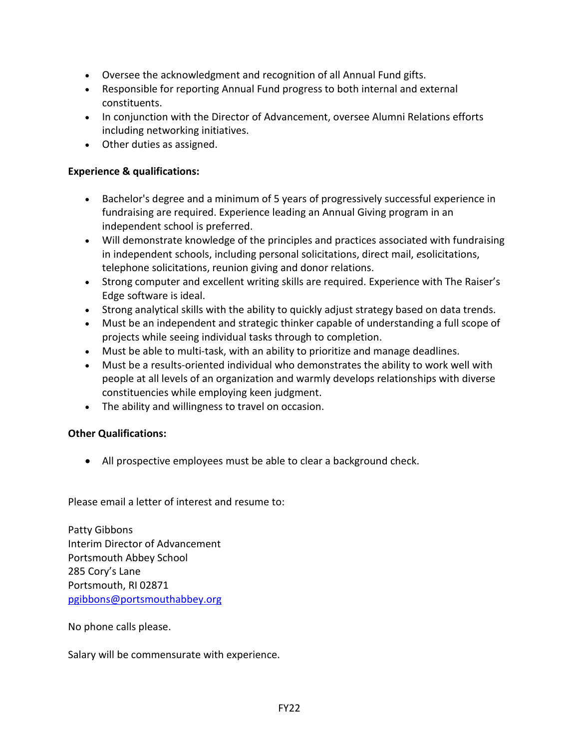- Oversee the acknowledgment and recognition of all Annual Fund gifts.
- Responsible for reporting Annual Fund progress to both internal and external constituents.
- In conjunction with the Director of Advancement, oversee Alumni Relations efforts including networking initiatives.
- Other duties as assigned.

#### **Experience & qualifications:**

- Bachelor's degree and a minimum of 5 years of progressively successful experience in fundraising are required. Experience leading an Annual Giving program in an independent school is preferred.
- Will demonstrate knowledge of the principles and practices associated with fundraising in independent schools, including personal solicitations, direct mail, *e*solicitations, telephone solicitations, reunion giving and donor relations.
- Strong computer and excellent writing skills are required. Experience with The Raiser's Edge software is ideal.
- Strong analytical skills with the ability to quickly adjust strategy based on data trends.
- Must be an independent and strategic thinker capable of understanding a full scope of projects while seeing individual tasks through to completion.
- Must be able to multi-task, with an ability to prioritize and manage deadlines.
- Must be a results-oriented individual who demonstrates the ability to work well with people at all levels of an organization and warmly develops relationships with diverse constituencies while employing keen judgment.
- The ability and willingness to travel on occasion.

### **Other Qualifications:**

• All prospective employees must be able to clear a background check.

Please email a letter of interest and resume to:

Patty Gibbons Interim Director of Advancement Portsmouth Abbey School 285 Cory's Lane Portsmouth, RI 02871 [pgibbons@portsmouthabbey.org](mailto:pgibbons@portsmouthabbey.org)

No phone calls please.

Salary will be commensurate with experience.